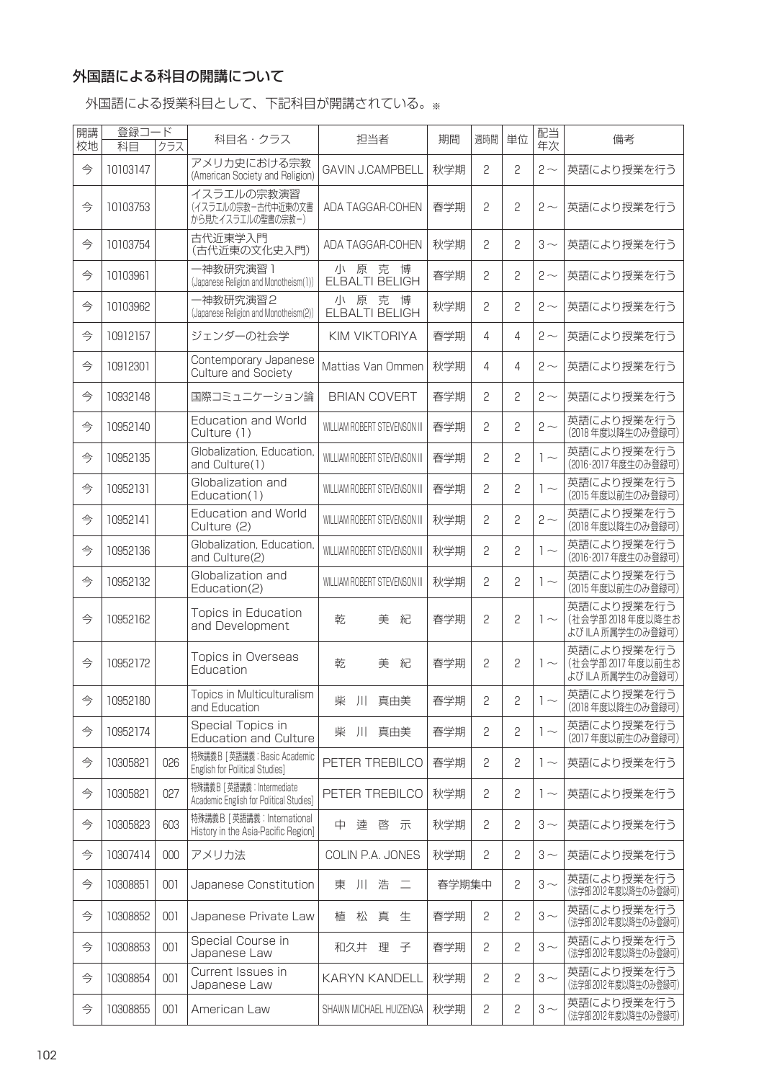## 外国語による科目の開講について

外国語による授業科目として、下記科目が開講されている。※

| 開講 | 登録コード    |     | 科目名・クラス                                                              | 担当者                                | 期間    | 週時間          | 単位 | 配当       | 備考                                                  |
|----|----------|-----|----------------------------------------------------------------------|------------------------------------|-------|--------------|----|----------|-----------------------------------------------------|
| 校地 | 科目       | クラス |                                                                      |                                    |       |              |    | 年次       |                                                     |
| 今  | 10103147 |     | アメリカ史における宗教<br>(American Society and Religion)                       | <b>GAVIN J.CAMPBELL</b>            | 秋学期   | 2            | 2  | $2 \sim$ | 英語により授業を行う                                          |
| 今  | 10103753 |     | イスラエルの宗教演習<br>(イスラエルの宗教-古代中近東の文書<br>から見たイスラエルの聖書の宗教ー)                | ADA TAGGAR-COHEN                   | 春学期   | 2            | 2  | $2 \sim$ | 英語により授業を行う                                          |
| 今  | 10103754 |     | 古代近東学入門<br>(古代近東の文化史入門)                                              | ADA TAGGAR-COHEN                   | 秋学期   | 2            | 2  | $3 \sim$ | 英語により授業を行う                                          |
| 今  | 10103961 |     | 一神教研究演習 1<br>(Japanese Religion and Monotheism(1))                   | 克<br>博<br>小<br>原<br>ELBALTI BELIGH | 春学期   | 2            | 2  | $2 \sim$ | 英語により授業を行う                                          |
| 今  | 10103962 |     | 一神教研究演習2<br>(Japanese Religion and Monotheism(2))                    | 原<br>克<br>博<br>川<br>ELBALTI BELIGH | 秋学期   | 2            | 2  | $2 \sim$ | 英語により授業を行う                                          |
| 今  | 10912157 |     | ジェンダーの社会学                                                            | KIM VIKTORIYA                      | 春学期   | 4            | 4  | $2 \sim$ | 英語により授業を行う                                          |
| 今  | 10912301 |     | Contemporary Japanese<br>Culture and Society                         | Mattias Van Ommen                  | 秋学期   | 4            | 4  | $2 \sim$ | 英語により授業を行う                                          |
| 今  | 10932148 |     | 国際コミュニケーション論                                                         | <b>BRIAN COVERT</b>                | 春学期   | 2            | 2  | $2 \sim$ | 英語により授業を行う                                          |
| 今  | 10952140 |     | <b>Education and World</b><br>Culture (1)                            | WILLIAM ROBERT STEVENSON III       | 春学期   | 2            | 2  | $2 \sim$ | 英語により授業を行う<br>(2018年度以降生のみ登録可)                      |
| 今  | 10952135 |     | Globalization, Education,<br>and Culture(1)                          | WILLIAM ROBERT STEVENSON III       | 春学期   | 2            | 2  | $1 -$    | 英語により授業を行う<br>(2016·2017年度生のみ登録可)                   |
| 今  | 10952131 |     | Globalization and<br>Education(1)                                    | WILLIAM ROBERT STEVENSON III       | 春学期   | 2            | 2  | $1 -$    | 英語により授業を行う<br>(2015年度以前生のみ登録可)                      |
| 今  | 10952141 |     | <b>Education and World</b><br>Culture (2)                            | WILLIAM ROBERT STEVENSON III       | 秋学期   | 2            | 2  | $2 \sim$ | 英語により授業を行う<br>(2018年度以降生のみ登録可)                      |
| 今  | 10952136 |     | Globalization, Education,<br>and Culture(2)                          | WILLIAM ROBERT STEVENSON III       | 秋学期   | 2            | 2  | $1\sim$  | 英語により授業を行う<br>(2016·2017年度生のみ登録可)                   |
| 今  | 10952132 |     | Globalization and<br>Education(2)                                    | WILLIAM ROBERT STEVENSON III       | 秋学期   | 2            | 2  | $1\sim$  | 英語により授業を行う<br>(2015年度以前生のみ登録可)                      |
| 今  | 10952162 |     | Topics in Education<br>and Development                               | 美<br>紀<br>乾                        | 春学期   | 2            | 2  | $1 \sim$ | 英語により授業を行う<br>(社会学部 2018年度以降生お<br>よび ILA 所属学生のみ登録可) |
| 今  | 10952172 |     | Topics in Overseas<br>Education                                      | 紀<br>乾<br>美                        | 春学期   | 2            | 2  | $1\sim$  | 英語により授業を行う<br>(社会学部 2017年度以前生お<br>よび ILA 所属学生のみ登録可) |
| 今  | 10952180 |     | Topics in Multiculturalism<br>and Education                          | 柴 川 真由美                            | 春学期   | $\sqrt{2}$   | 2  | $\sim$   | 英語により授業を行う<br>(2018年度以降生のみ登録可)                      |
| 今  | 10952174 |     | Special Topics in<br><b>Education and Culture</b>                    | 柴 川 真由美                            | 春学期   | $\mathbf{S}$ | 2  | $1 -$    | 英語により授業を行う<br>(2017年度以前生のみ登録可)                      |
| 今  | 10305821 | 026 | 特殊講義B [ 英語講義: Basic Academic<br>English for Political Studies]       | PETER TREBILCO                     | 春学期   | 2            | 2  | $1 \sim$ | 英語により授業を行う                                          |
| 今  | 10305821 | 027 | 特殊講義B [英語講義: Intermediate<br>Academic English for Political Studies] | PETER TREBILCO                     | 秋学期   | 2            | 2  | $1 \sim$ | 英語により授業を行う                                          |
| 今  | 10305823 | 603 | 特殊講義B [英語講義: International<br>History in the Asia-Pacific Region]    | 中達啓示                               | 秋学期   | 2            | 2  | $3\sim$  | 英語により授業を行う                                          |
| 今  | 10307414 | 000 | アメリカ法                                                                | COLIN P.A. JONES                   | 秋学期   | 2            | 2  | $3\sim$  | 英語により授業を行う                                          |
| 今  | 10308851 | 001 | Japanese Constitution                                                | 川浩二<br>東                           | 春学期集中 |              | 2  | $3\sim$  | 英語により授業を行う<br>(法学部2012年度以降生のみ登録可)                   |
| 今  | 10308852 | 001 | Japanese Private Law                                                 | 松<br>真<br>植<br>生                   | 春学期   | 2            | 2  | $3\sim$  | 英語により授業を行う<br>(法学部2012年度以降生のみ登録可)                   |
| 今  | 10308853 | 001 | Special Course in<br>Japanese Law                                    | 理子<br>和久井                          | 春学期   | 2            | 2  | $3\sim$  | 英語により授業を行う<br>(法学部2012年度以降生のみ登録可)                   |
| 今  | 10308854 | 001 | Current Issues in<br>Japanese Law                                    | <b>KARYN KANDELL</b>               | 秋学期   | 2            | 2  | $3\sim$  | 英語により授業を行う<br>(法学部2012年度以降生のみ登録可)                   |
| 今  | 10308855 | 001 | American Law                                                         | SHAWN MICHAEL HUIZENGA             | 秋学期   | 2            | 2  | $3\sim$  | 英語により授業を行う<br>(法学部2012年度以降生のみ登録可)                   |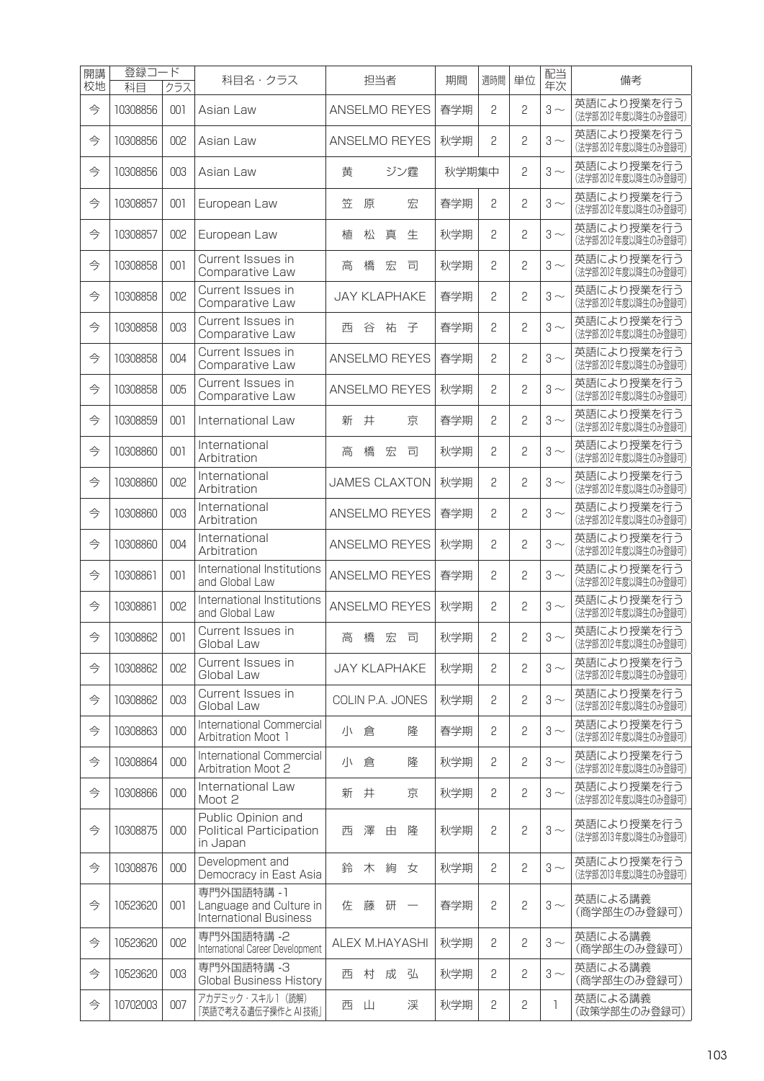| 開講<br>校地 | 登録コ·<br>科目 | ード<br>クラス | 科目名・クラス                                                                | 担当者           |   |                             |       |                               | 期間    | 週時間 | 単位 | 配当<br>年次     | 備考                                  |
|----------|------------|-----------|------------------------------------------------------------------------|---------------|---|-----------------------------|-------|-------------------------------|-------|-----|----|--------------|-------------------------------------|
| 今        | 10308856   | 001       | Asian Law                                                              |               |   |                             |       | ANSELMO REYES                 | 春学期   | 2   | 2  | $3 \sim$     | 英語により授業を行う<br>(法学部2012年度以降生のみ登録可)   |
| 今        | 10308856   | 002       | Asian Law                                                              | ANSELMO REYES |   |                             |       |                               | 秋学期   | 2   | 2  | $3 \sim$     | 英語により授業を行う<br>(法学部2012年度以降生のみ登録可)   |
| 今        | 10308856   | 003       | Asian Law                                                              |               | 黄 |                             |       | ジン霆                           | 秋学期集中 |     | 2  | $3 \sim$     | 英語により授業を行う<br>(法学部2012年度以降生のみ登録可)   |
| 今        | 10308857   | 001       | European Law                                                           | 笠             |   | 原                           |       | 宏                             | 春学期   | 2   | 2  | $3 \sim$     | 英語により授業を行う<br>(法学部2012年度以降生のみ登録可)   |
| 今        | 10308857   | 002       | European Law                                                           | 植             |   | 松                           | 真     | 生                             | 秋学期   | 2   | 2  | $3 \sim$     | 英語により授業を行う<br>(法学部2012年度以降生のみ登録可)   |
| 今        | 10308858   | 001       | Current Issues in<br>Comparative Law                                   | 高             |   | 橋                           | 宏     | 司                             | 秋学期   | 2   | 2  | $3 \sim$     | 英語により授業を行う<br>(法学部2012年度以降生のみ登録可)   |
| 今        | 10308858   | 002       | Current Issues in<br>Comparative Law                                   |               |   |                             |       | <b>JAY KLAPHAKE</b>           | 春学期   | 2   | 2  | $3 \sim$     | 英語により授業を行う<br>(法学部2012年度以降生のみ登録可)   |
| 今        | 10308858   | 003       | Current Issues in<br>Comparative Law                                   |               | 西 | 谷                           | 祐     | 子                             | 春学期   | 2   | 2  | $3 \sim$     | 英語により授業を行う<br>(法学部2012年度以降生のみ登録可)   |
| 今        | 10308858   | 004       | Current Issues in<br>Comparative Law                                   |               |   |                             |       | ANSELMO REYES                 | 春学期   | 2   | 2  | $3 \sim$     | 英語により授業を行う<br>(法学部2012年度以降生のみ登録可)   |
| 今        | 10308858   | 005       | Current Issues in<br>Comparative Law                                   |               |   |                             |       | ANSELMO REYES                 | 秋学期   | 2   | 2  | $3 \sim$     | 英語により授業を行う<br>(法学部2012年度以降生のみ登録可)   |
| 今        | 10308859   | 001       | International Law                                                      | 新             |   | 井                           |       | 京                             | 春学期   | 2   | 2  | $3\sim$      | 英語により授業を行う<br>(法学部2012年度以降生のみ登録可)   |
| 今        | 10308860   | 001       | International<br>Arbitration                                           | 高             |   | 橋                           | 宏     | 司                             | 秋学期   | 2   | 2  | $3\sim$      | 英語により授業を行う<br>(法学部2012年度以降生のみ登録可)   |
| 今        | 10308860   | 002       | International<br>Arbitration                                           |               |   |                             |       | <b>JAMES CLAXTON</b>          | 秋学期   | 2   | 2  | $3 \sim$     | 英語により授業を行う<br>(法学部2012年度以降生のみ登録可)   |
| 今        | 10308860   | 003       | International<br>Arbitration                                           |               |   |                             |       | ANSELMO REYES                 | 春学期   | 2   | 2  | $3 \sim$     | 英語により授業を行う<br>(法学部2012年度以降生のみ登録可)   |
| 今        | 10308860   | 004       | International<br>Arbitration                                           |               |   |                             |       | ANSELMO REYES                 | 秋学期   | 2   | 2  | $3 \sim$     | 英語により授業を行う<br>(法学部2012年度以降生のみ登録可)   |
| 今        | 10308861   | 001       | International Institutions<br>and Global Law                           |               |   |                             |       | ANSELMO REYES                 | 春学期   | 2   | 2  | $3\sim$      | 英語により授業を行う<br>(法学部2012年度以降生のみ登録可)   |
| 今        | 10308861   | 002       | International Institutions<br>and Global Law                           |               |   |                             |       | ANSELMO REYES                 | 秋学期   | 2   | 2  | $3 \sim$     | 英語により授業を行う<br>(法学部2012年度以降生のみ登録可)   |
| 今        | 10308862   | 001       | Current Issues in<br>Global Law                                        |               | 高 |                             | 橋 宏 司 |                               | 秋学期   | 2   | 2  | $3 \sim$     | 英語により授業を行う<br>(法字部 2012 年度以降生のみ登録可) |
| 今        | 10308862   | 002       | Current Issues in<br>Global Law                                        |               |   |                             |       | <b>JAY KLAPHAKE</b>           | 秋学期   | 2   | 2  | $3\sim$      | 英語により授業を行う<br>(法学部2012年度以降生のみ登録可)   |
| 今        | 10308862   | 003       | Current Issues in<br>Global Law                                        |               |   |                             |       | COLIN P.A. JONES              | 秋学期   | 2   | 2  | $3\sim$      | 英語により授業を行う<br>(法学部2012年度以降生のみ登録可)   |
| 今        | 10308863   | 000       | International Commercial<br>Arbitration Moot 1                         |               |   | 小倉                          |       | 隆                             | 春学期   | 2   | 2  | $3\sim$      | 英語により授業を行う<br>(法学部2012年度以降生のみ登録可)   |
| 今        | 10308864   | 000       | International Commercial<br>Arbitration Moot 2                         |               | 小 | 倉                           |       | 隆                             | 秋学期   | 2   | 2  | $3\sim$      | 英語により授業を行う<br>(法学部2012年度以降生のみ登録可)   |
| 今        | 10308866   | 000       | International Law<br>Moot 2                                            |               | 新 | 井                           |       | 京                             | 秋学期   | 2   | 2  | $3 \sim$     | 英語により授業を行う<br>(法学部2012年度以降生のみ登録可)   |
| 今        | 10308875   | 000       | Public Opinion and<br><b>Political Participation</b><br>in Japan       | 西             |   | 澤                           | 由     | 隆                             | 秋学期   | 2   | 2  | $3\sim$      | 英語により授業を行う<br>(法学部2013年度以降生のみ登録可)   |
| 今        | 10308876   | 000       | Development and<br>Democracy in East Asia                              |               | 鈴 | 木                           | 絢     | 女                             | 秋学期   | 2   | 2  | $3 \sim$     | 英語により授業を行う<br>(法学部2013年度以降生のみ登録可)   |
| 今        | 10523620   | 001       | 専門外国語特講 -1<br>Language and Culture in<br><b>International Business</b> |               | 佐 | 藤                           | 研     | $\overbrace{\phantom{12333}}$ | 春学期   | 2   | 2  | $3 \sim$     | 英語による講義<br>(商学部生のみ登録可)              |
| 今        | 10523620   | 002       | 専門外国語特講 -2<br>International Career Development                         |               |   |                             |       | ALEX M.HAYASHI                | 秋学期   | 2   | 2  | $3\sim$      | 英語による講義<br>(商学部生のみ登録可)              |
| 今        | 10523620   | 003       | 専門外国語特講-3<br><b>Global Business History</b>                            |               | 西 | 村                           | 成     | 弘                             | 秋学期   | 2   | 2  | $3\sim$      | 英語による講義<br>(商学部生のみ登録可)              |
| 今        | 10702003   | 007       | アカデミック・スキル1 (読解)<br>「英語で考える遺伝子操作と AI 技術」                               |               | 西 | $\mathop{\perp\!\!\!\perp}$ |       | 渓                             | 秋学期   | 2   | 2  | $\mathbf{1}$ | 英語による講義<br>(政策学部生のみ登録可)             |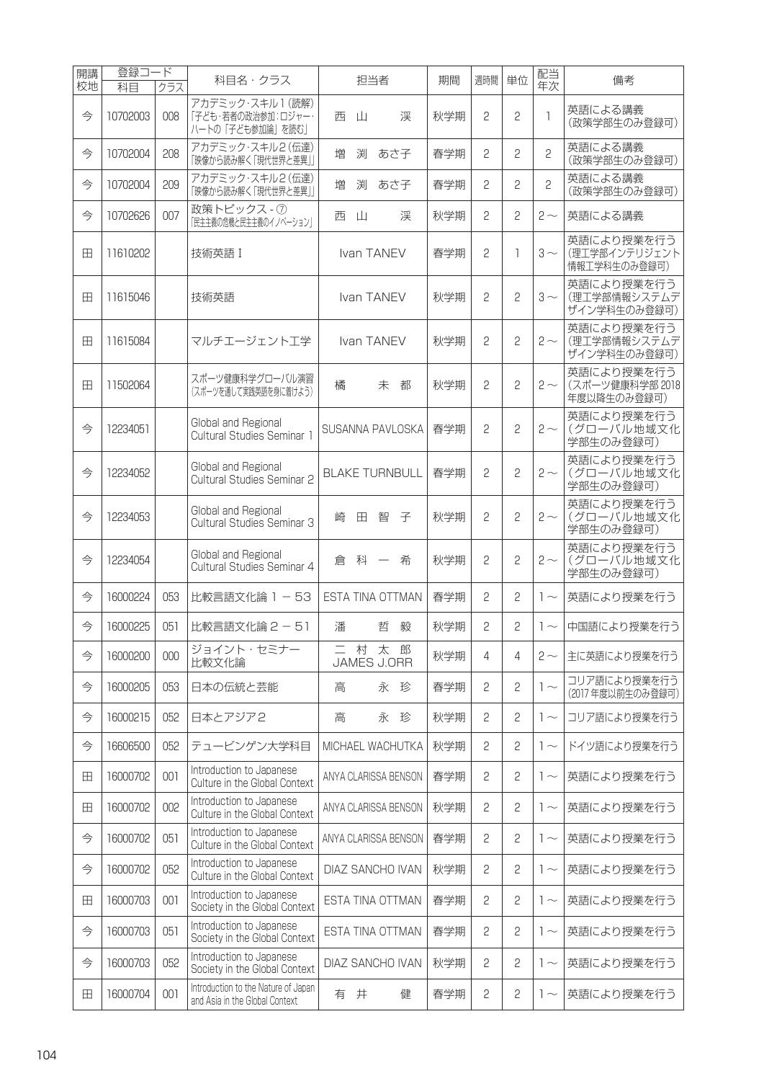| 開講<br>校地 | 登録コ<br>科目 | ード<br>クラス | 科目名・クラス                                                               |   | 担当者 |                       | 期間  | 週時間          | 単位 | 配当<br>年次     | 備考                                           |
|----------|-----------|-----------|-----------------------------------------------------------------------|---|-----|-----------------------|-----|--------------|----|--------------|----------------------------------------------|
| 今        | 10702003  | 008       | アカデミック·スキル1(読解)<br>「子ども・若者の政治参加:ロジャー・<br>ハートの「子ども参加論」を読む」             | 西 | Щ   | 渓                     | 秋学期 | 2            | 2  | <sup>1</sup> | 英語による講義<br>(政策学部生のみ登録可)                      |
| 今        | 10702004  | 208       | アカデミック·スキル2(伝達)<br>「映像から読み解く「現代世界と差異」」                                | 増 | 渕   | あさ子                   | 春学期 | 2            | 2  | 2            | 英語による講義<br>(政策学部生のみ登録可)                      |
| 今        | 10702004  | 209       | アカデミック·スキル2(伝達)<br>「映像から読み解く「現代世界と差異」」                                | 増 | 渕   | あさ子                   | 春学期 | 2            | 2  | 2            | 英語による講義<br>(政策学部生のみ登録可)                      |
| 今        | 10702626  | 007       | 政策トピックス - 7<br>「民主主義の危機と民主主義のイノベーション」                                 | 西 | Ш   | 渓                     | 秋学期 | 2            | 2  | $2 \sim$     | 英語による講義                                      |
| ⊞        | 11610202  |           | 技術英語 I                                                                |   |     | Ivan TANEV            | 春学期 | 2            | 1  | $3\sim$      | 英語により授業を行う<br>(理工学部インテリジェント<br>情報工学科生のみ登録可)  |
| ⊞        | 11615046  |           | 技術英語                                                                  |   |     | Ivan TANEV            | 秋学期 | 2            | 2  | $3\sim$      | 英語により授業を行う<br>(理工学部情報システムデ<br>ザイン学科生のみ登録可)   |
| 田        | 11615084  |           | マルチエージェント工学                                                           |   |     | Ivan TANEV            | 秋学期 | 2            | 2  | $2 \sim$     | 英語により授業を行う<br>(理工学部情報システムデ<br>ザイン学科生のみ登録可)   |
| ⊞        | 11502064  |           | スポーツ健康科学グローバル演習<br>(スポーツを通して実践英語を身に着けよう)                              | 橘 |     | 都<br>未                | 秋学期 | 2            | 2  | $2 \sim$     | 英語により授業を行う<br>(スポーツ健康科学部 2018<br>年度以降生のみ登録可) |
| 今        | 12234051  |           | Global and Regional<br>Cultural Studies Seminar 1                     |   |     | SUSANNA PAVLOSKA      | 春学期 | 2            | 2  | $2 \sim$     | 英語により授業を行う<br>(グローバル地域文化<br>学部生のみ登録可)        |
| 今        | 12234052  |           | Global and Regional<br>Cultural Studies Seminar 2                     |   |     | <b>BLAKE TURNBULL</b> | 春学期 | 2            | 2  | $2 \sim$     | 英語により授業を行う<br>(グローバル地域文化<br>学部生のみ登録可)        |
| 今        | 12234053  |           | Global and Regional<br><b>Cultural Studies Seminar 3</b>              | 崎 | 田   | 智<br>子                | 秋学期 | 2            | 2  | $2 \sim$     | 英語により授業を行う<br>(グローバル地域文化<br>学部生のみ登録可)        |
| 今        | 12234054  |           | Global and Regional<br>Cultural Studies Seminar 4                     | 倉 | 科   | 希                     | 秋学期 | 2            | 2  | $2 \sim$     | 英語により授業を行う<br>(グローバル地域文化<br>学部生のみ登録可)        |
| 今        | 16000224  | 053       | 比較言語文化論 1 - 53                                                        |   |     | ESTA TINA OTTMAN      | 春学期 | 2            | 2  | $\sim$       | 英語により授業を行う                                   |
| 今        | 16000225  | 051       | 比較言語文化論 2 - 51                                                        | 潘 |     | 毅<br>哲                | 秋学期 | 2            | 2  | $1 \sim$     | 中国語により授業を行う                                  |
| 今        | 16000200  | 000       | ジョイント・セミナー<br>比較文化論                                                   |   | 村   | 太郎<br>JAMES J.ORR     | 秋学期 | 4            | 4  | $2 \sim$     | 主に英語により授業を行う                                 |
| 今        | 16000205  | 053       | 日本の伝統と芸能                                                              | 高 |     | 永珍                    | 春学期 | 2            | 2  | $\sim$       | コリア語により授業を行う<br>(2017年度以前生のみ登録可)             |
| 今        | 16000215  | 052       | 日本とアジア2                                                               | 高 |     | 永珍                    | 秋学期 | 2            | 2  | $1 -$        | コリア語により授業を行う                                 |
| 今        | 16606500  | 052       | テュービンゲン大学科目                                                           |   |     | MICHAEL WACHUTKA      | 秋学期 | $\mathbf{S}$ | 2  | $1 \sim$     | ドイツ語により授業を行う                                 |
| 田        | 16000702  | 001       | Introduction to Japanese<br>Culture in the Global Context             |   |     | ANYA CLARISSA BENSON  | 春学期 | $\mathbf{S}$ | 2  | $1 \sim$     | 英語により授業を行う                                   |
| 田        | 16000702  | 002       | Introduction to Japanese<br>Culture in the Global Context             |   |     | ANYA CLARISSA BENSON  | 秋学期 | $\mathbf{S}$ | 2  | $1 \sim$     | 英語により授業を行う                                   |
| 今        | 16000702  | 051       | Introduction to Japanese<br>Culture in the Global Context             |   |     | ANYA CLARISSA BENSON  | 春学期 | $\mathbf{S}$ | 2  | $1 -$        | 英語により授業を行う                                   |
| 今        | 16000702  | 052       | Introduction to Japanese<br>Culture in the Global Context             |   |     | DIAZ SANCHO IVAN      | 秋学期 | $\mathbf{S}$ | 2  | $1 -$        | 英語により授業を行う                                   |
| 田        | 16000703  | 001       | Introduction to Japanese<br>Society in the Global Context             |   |     | ESTA TINA OTTMAN      | 春学期 | 2            | 2  | $1 -$        | 英語により授業を行う                                   |
| 今        | 16000703  | 051       | Introduction to Japanese<br>Society in the Global Context             |   |     | ESTA TINA OTTMAN      | 春学期 | $\mathbf{S}$ | 2  | $1 -$        | 英語により授業を行う                                   |
| 今        | 16000703  | 052       | Introduction to Japanese<br>Society in the Global Context             |   |     | DIAZ SANCHO IVAN      | 秋学期 | 2            | 2  | $1 -$        | 英語により授業を行う                                   |
| 田        | 16000704  | 001       | Introduction to the Nature of Japan<br>and Asia in the Global Context |   | 有 井 | 健                     | 春学期 | $\mathbf{S}$ | 2  | $1 -$        | 英語により授業を行う                                   |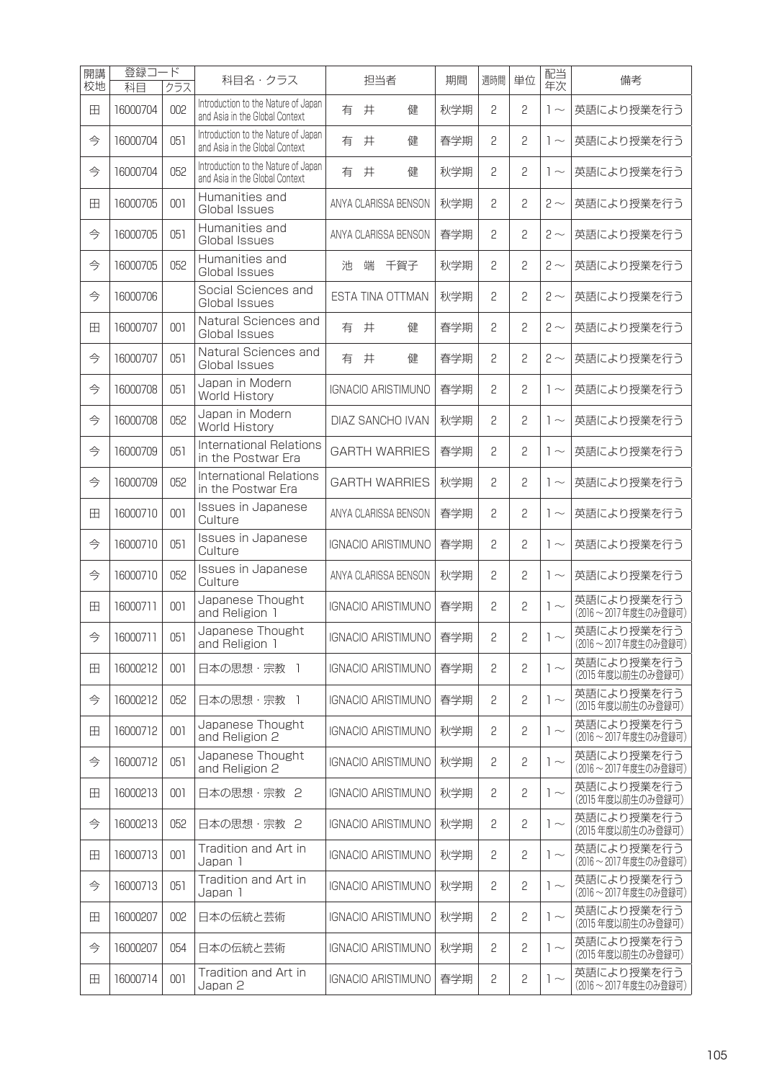| 開講 | 登録コ      | $-\kappa$ | 科目名・クラス                                                               |   | 担当者 |  | 期間                        | 週時間 | 単位           | 配当             | 備考           |                                      |
|----|----------|-----------|-----------------------------------------------------------------------|---|-----|--|---------------------------|-----|--------------|----------------|--------------|--------------------------------------|
| 校地 | 科目       | クラス       | Introduction to the Nature of Japan                                   |   |     |  |                           |     |              |                | 年次           |                                      |
| ⊞  | 16000704 | 002       | and Asia in the Global Context                                        | 有 | 井   |  | 健                         | 秋学期 | 2            | 2              | $1 -$        | 英語により授業を行う                           |
| 今  | 16000704 | 051       | Introduction to the Nature of Japan<br>and Asia in the Global Context | 有 | 井   |  | 健                         | 春学期 | 2            | $\overline{c}$ | $1 -$        | 英語により授業を行う                           |
| 今  | 16000704 | 052       | Introduction to the Nature of Japan<br>and Asia in the Global Context | 有 | 井   |  | 健                         | 秋学期 | 2            | 2              | $1 -$        | 英語により授業を行う                           |
| ⊞  | 16000705 | 001       | Humanities and<br>Global Issues                                       |   |     |  | ANYA CLARISSA BENSON      | 秋学期 | 2            | 2              | $2 \sim$     | 英語により授業を行う                           |
| 今  | 16000705 | 051       | Humanities and<br>Global Issues                                       |   |     |  | ANYA CLARISSA BENSON      | 春学期 | 2            | 2              | $2 \sim$     | 英語により授業を行う                           |
| 今  | 16000705 | 052       | Humanities and<br>Global Issues                                       | 池 | 端   |  | 千賀子                       | 秋学期 | 2            | 2              | $2 \sim$     | 英語により授業を行う                           |
| 今  | 16000706 |           | Social Sciences and<br>Global Issues                                  |   |     |  | ESTA TINA OTTMAN          | 秋学期 | 2            | 2              | $2 \sim$     | 英語により授業を行う                           |
| 田  | 16000707 | 001       | Natural Sciences and<br>Global Issues                                 | 有 | 井   |  | 健                         | 春学期 | 2            | 2              | $2 \sim$     | 英語により授業を行う                           |
| 今  | 16000707 | 051       | Natural Sciences and<br>Global Issues                                 | 有 | 井   |  | 健                         | 春学期 | 2            | 2              | $2 \sim$     | 英語により授業を行う                           |
| 今  | 16000708 | 051       | Japan in Modern<br>World History                                      |   |     |  | <b>IGNACIO ARISTIMUNO</b> | 春学期 | 2            | 2              | $1\sim$      | 英語により授業を行う                           |
| 今  | 16000708 | 052       | Japan in Modern<br>World History                                      |   |     |  | DIAZ SANCHO IVAN          | 秋学期 | 2            | 2              | $1\sim$      | 英語により授業を行う                           |
| 今  | 16000709 | 051       | International Relations<br>in the Postwar Era                         |   |     |  | <b>GARTH WARRIES</b>      | 春学期 | 2            | 2              | $1\sim$      | 英語により授業を行う                           |
| 今  | 16000709 | 052       | International Relations<br>in the Postwar Era                         |   |     |  | <b>GARTH WARRIES</b>      | 秋学期 | 2            | 2              | $1\sim$      | 英語により授業を行う                           |
| 田  | 16000710 | 001       | Issues in Japanese<br>Culture                                         |   |     |  | ANYA CLARISSA BENSON      | 春学期 | 2            | 2              | $1\sim$      | 英語により授業を行う                           |
| 今  | 16000710 | 051       | Issues in Japanese<br>Culture                                         |   |     |  | <b>IGNACIO ARISTIMUNO</b> | 春学期 | 2            | 2              | $1\sim$      | 英語により授業を行う                           |
| 今  | 16000710 | 052       | Issues in Japanese<br>Culture                                         |   |     |  | ANYA CLARISSA BENSON      | 秋学期 | 2            | 2              | $1 -$        | 英語により授業を行う                           |
| 田  | 16000711 | 001       | Japanese Thought<br>and Religion 1                                    |   |     |  | <b>IGNACIO ARISTIMUNO</b> | 春学期 | 2            | 2              | $1 -$        | 英語により授業を行う<br>(2016~2017年度生のみ登録可)    |
| 今  | 16000711 | 051       | Japanese Thought<br>and Religion 1                                    |   |     |  | IGNACIO ARISTIMUNO        | 春学期 | 2            | 2              | $\vert \sim$ | 英語により授業を行う<br>(2016 ~ 2017 年度生のみ登録可) |
| 田  | 16000212 | 001       | 日本の思想・宗教 1                                                            |   |     |  | <b>IGNACIO ARISTIMUNO</b> | 春学期 | $\mathbf{S}$ | $\mathbf{c}$   | $1\sim$      | 英語により授業を行う<br>(2015年度以前生のみ登録可)       |
| 今  | 16000212 | 052       | 日本の思想・宗教 1                                                            |   |     |  | <b>IGNACIO ARISTIMUNO</b> | 春学期 | 2            | 2              | $1 -$        | 英語により授業を行う<br>(2015年度以前生のみ登録可)       |
| 田  | 16000712 | 001       | Japanese Thought<br>and Religion 2                                    |   |     |  | <b>IGNACIO ARISTIMUNO</b> | 秋学期 | 2            | 2              | $1 -$        | 英語により授業を行う<br>(2016~2017年度生のみ登録可)    |
| 今  | 16000712 | 051       | Japanese Thought<br>and Religion 2                                    |   |     |  | <b>IGNACIO ARISTIMUNO</b> | 秋学期 | 2            | 2              | $1\sim$      | 英語により授業を行う<br>(2016~2017年度生のみ登録可)    |
| 田  | 16000213 | 001       | 日本の思想・宗教 2                                                            |   |     |  | <b>IGNACIO ARISTIMUNO</b> | 秋学期 | 2            | 2              | $1 -$        | 英語により授業を行う<br>(2015年度以前生のみ登録可)       |
| 今  | 16000213 | 052       | 日本の思想·宗教 2                                                            |   |     |  | <b>IGNACIO ARISTIMUNO</b> | 秋学期 | 2            | 2              | $1 -$        | 英語により授業を行う<br>(2015年度以前生のみ登録可)       |
| 田  | 16000713 | 001       | Tradition and Art in<br>Japan 1                                       |   |     |  | <b>IGNACIO ARISTIMUNO</b> | 秋学期 | 2            | 2              | $1 -$        | 英語により授業を行う<br>(2016~2017年度生のみ登録可)    |
| 今  | 16000713 | 051       | Tradition and Art in<br>Japan 1                                       |   |     |  | <b>IGNACIO ARISTIMUNO</b> | 秋学期 | 2            | 2              | $1\sim$      | 英語により授業を行う<br>(2016~2017年度生のみ登録可)    |
| 田  | 16000207 | 002       | 日本の伝統と芸術                                                              |   |     |  | <b>IGNACIO ARISTIMUNO</b> | 秋学期 | 2            | 2              | $1\sim$      | 英語により授業を行う<br>(2015年度以前生のみ登録可)       |
| 今  | 16000207 | 054       | 日本の伝統と芸術                                                              |   |     |  | <b>IGNACIO ARISTIMUNO</b> | 秋学期 | 2            | 2              | $1\sim$      | 英語により授業を行う<br>(2015年度以前生のみ登録可)       |
| 田  | 16000714 | 001       | Tradition and Art in<br>Japan 2                                       |   |     |  | <b>IGNACIO ARISTIMUNO</b> | 春学期 | 2            | 2              | $1 \sim$     | 英語により授業を行う<br>(2016~2017年度生のみ登録可)    |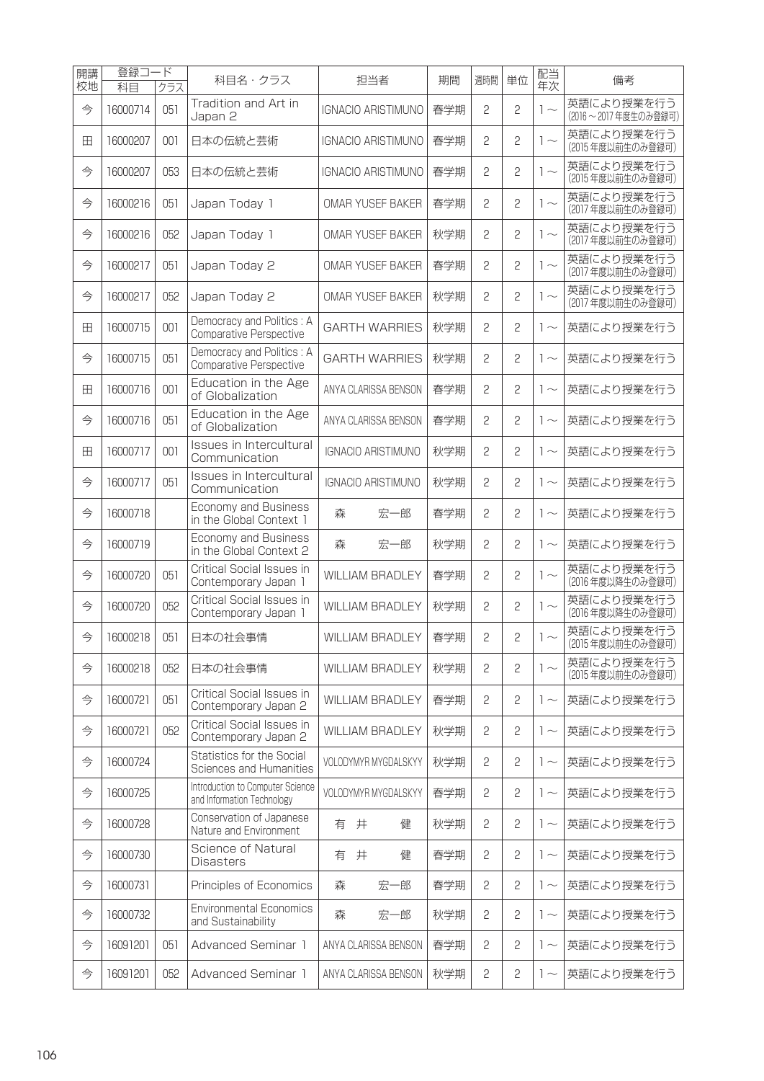| 開講<br>校地 | 登録コ<br>科目 | ード<br>クラス | 科目名・クラス                                                        | 担当者                       | 期間  | 週時間          | 単位           | 配当<br>年次     | 備考                                |
|----------|-----------|-----------|----------------------------------------------------------------|---------------------------|-----|--------------|--------------|--------------|-----------------------------------|
| 今        | 16000714  | 051       | Tradition and Art in<br>Japan 2                                | <b>IGNACIO ARISTIMUNO</b> | 春学期 | 2            | 2            | $1 -$        | 英語により授業を行う<br>(2016~2017年度生のみ登録可) |
| 田        | 16000207  | 001       | 日本の伝統と芸術                                                       | <b>IGNACIO ARISTIMUNO</b> | 春学期 | 2            | 2            | $1 \sim$     | 英語により授業を行う<br>(2015年度以前生のみ登録可)    |
| 今        | 16000207  | 053       | 日本の伝統と芸術                                                       | <b>IGNACIO ARISTIMUNO</b> | 春学期 | 2            | $\mathbf{c}$ | $1 -$        | 英語により授業を行う<br>(2015年度以前生のみ登録可)    |
| 今        | 16000216  | 051       | Japan Today 1                                                  | <b>OMAR YUSEF BAKER</b>   | 春学期 | 2            | 2            | $1 \sim$     | 英語により授業を行う<br>(2017年度以前生のみ登録可)    |
| 今        | 16000216  | 052       | Japan Today 1                                                  | <b>OMAR YUSEF BAKER</b>   | 秋学期 | 2            | 2            | $1 -$        | 英語により授業を行う<br>(2017年度以前生のみ登録可)    |
| 今        | 16000217  | 051       | Japan Today 2                                                  | <b>OMAR YUSEF BAKER</b>   | 春学期 | 2            | 2            | $1 -$        | 英語により授業を行う<br>(2017年度以前生のみ登録可)    |
| 今        | 16000217  | 052       | Japan Today 2                                                  | <b>OMAR YUSEF BAKER</b>   | 秋学期 | 2            | 2            | $1 -$        | 英語により授業を行う<br>(2017年度以前生のみ登録可)    |
| 田        | 16000715  | 001       | Democracy and Politics: A<br>Comparative Perspective           | <b>GARTH WARRIES</b>      | 秋学期 | 2            | 2            | $1 -$        | 英語により授業を行う                        |
| 今        | 16000715  | 051       | Democracy and Politics: A<br><b>Comparative Perspective</b>    | <b>GARTH WARRIES</b>      | 秋学期 | 2            | 2            | $1 \sim$     | 英語により授業を行う                        |
| 田        | 16000716  | 001       | Education in the Age<br>of Globalization                       | ANYA CLARISSA BENSON      | 春学期 | 2            | 2            | $1 -$        | 英語により授業を行う                        |
| 今        | 16000716  | 051       | Education in the Age<br>of Globalization                       | ANYA CLARISSA BENSON      | 春学期 | 2            | 2            | $1 \sim$     | 英語により授業を行う                        |
| 田        | 16000717  | 001       | Issues in Intercultural<br>Communication                       | <b>IGNACIO ARISTIMUNO</b> | 秋学期 | 2            | 2            | $1 \sim$     | 英語により授業を行う                        |
| 今        | 16000717  | 051       | Issues in Intercultural<br>Communication                       | <b>IGNACIO ARISTIMUNO</b> | 秋学期 | 2            | 2            | $1 \sim$     | 英語により授業を行う                        |
| 今        | 16000718  |           | Economy and Business<br>in the Global Context 1                | 宏一郎<br>森                  | 春学期 | 2            | 2            | $1 \sim$     | 英語により授業を行う                        |
| 今        | 16000719  |           | Economy and Business<br>in the Global Context 2                | 森<br>宏一郎                  | 秋学期 | 2            | 2            | $1 \sim$     | 英語により授業を行う                        |
| 今        | 16000720  | 051       | <b>Critical Social Issues in</b><br>Contemporary Japan 1       | <b>WILLIAM BRADLEY</b>    | 春学期 | 2            | 2            | $1\sim$      | 英語により授業を行う<br>(2016年度以降生のみ登録可)    |
| 今        | 16000720  | 052       | Critical Social Issues in<br>Contemporary Japan 1              | <b>WILLIAM BRADLEY</b>    | 秋学期 | 2            | 2            | $1\sim$      | 英語により授業を行う<br>(2016年度以降生のみ登録可)    |
| 今        | 16000218  | 051       | 日本の社会事情                                                        | WILLIAM BRADLEY           | 春学期 | 2            | 2            | $1\sim$      | 英語により授業を行う<br>(2015 年度以則生のみ登録可)   |
| 今        | 16000218  | 052       | 日本の社会事情                                                        | <b>WILLIAM BRADLEY</b>    | 秋学期 | 2            | 2            | $1 -$        | 英語により授業を行う<br>(2015年度以前生のみ登録可)    |
| 今        | 16000721  | 051       | Critical Social Issues in<br>Contemporary Japan 2              | <b>WILLIAM BRADLEY</b>    | 春学期 | 2            | 2            | $1 \sim$     | 英語により授業を行う                        |
| 今        | 16000721  | 052       | Critical Social Issues in<br>Contemporary Japan 2              | <b>WILLIAM BRADLEY</b>    | 秋学期 | $\mathbf{S}$ | 2            | $1 \sim$     | 英語により授業を行う                        |
| 今        | 16000724  |           | Statistics for the Social<br>Sciences and Humanities           | VOLODYMYR MYGDALSKYY      | 秋学期 | 2            | 2            | $1 \sim$     | 英語により授業を行う                        |
| 今        | 16000725  |           | Introduction to Computer Science<br>and Information Technology | VOLODYMYR MYGDALSKYY      | 春学期 | 2            | 2            | $\sim$       | 英語により授業を行う                        |
| 今        | 16000728  |           | Conservation of Japanese<br>Nature and Environment             | 井<br>有<br>健               | 秋学期 | 2            | 2            | $1 \sim$     | 英語により授業を行う                        |
| 今        | 16000730  |           | Science of Natural<br><b>Disasters</b>                         | 井<br>健<br>有               | 春学期 | 2            | 2            | $1 \sim$     | 英語により授業を行う                        |
| 今        | 16000731  |           | Principles of Economics                                        | 森<br>宏一郎                  | 春学期 | 2            | 2            | $\sim$       | 英語により授業を行う                        |
| 今        | 16000732  |           | <b>Environmental Economics</b><br>and Sustainability           | 宏一郎<br>森                  | 秋学期 | 2            | 2            | $1 \sim$     | 英語により授業を行う                        |
| 今        | 16091201  | 051       | Advanced Seminar 1                                             | ANYA CLARISSA BENSON      | 春学期 | 2            | 2            | $1 \sim$     | 英語により授業を行う                        |
| 今        | 16091201  | 052       | Advanced Seminar 1                                             | ANYA CLARISSA BENSON      | 秋学期 | 2            | 2            | $\vert \sim$ | 英語により授業を行う                        |